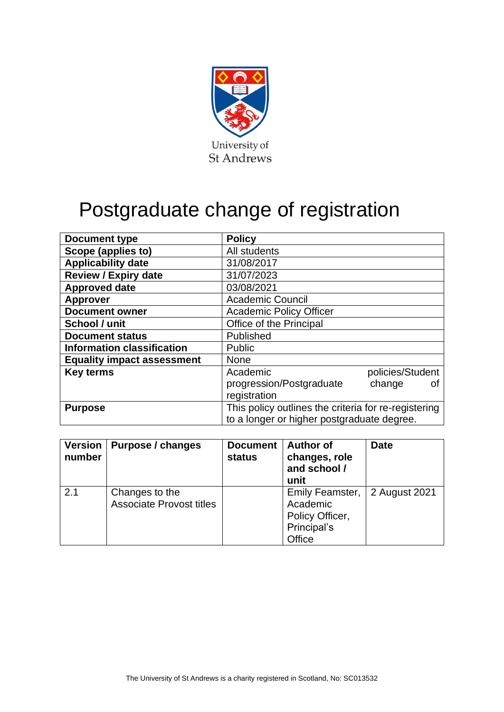

# Postgraduate change of registration

| <b>Document type</b>              | <b>Policy</b>                                        |  |  |
|-----------------------------------|------------------------------------------------------|--|--|
| Scope (applies to)                | All students                                         |  |  |
| <b>Applicability date</b>         | 31/08/2017                                           |  |  |
| <b>Review / Expiry date</b>       | 31/07/2023                                           |  |  |
| <b>Approved date</b>              | 03/08/2021                                           |  |  |
| <b>Approver</b>                   | <b>Academic Council</b>                              |  |  |
| <b>Document owner</b>             | <b>Academic Policy Officer</b>                       |  |  |
| School / unit                     | Office of the Principal                              |  |  |
| <b>Document status</b>            | Published                                            |  |  |
| <b>Information classification</b> | <b>Public</b>                                        |  |  |
| <b>Equality impact assessment</b> | <b>None</b>                                          |  |  |
| <b>Key terms</b>                  | Academic<br>policies/Student                         |  |  |
|                                   | progression/Postgraduate<br>change<br>οt             |  |  |
|                                   | registration                                         |  |  |
| <b>Purpose</b>                    | This policy outlines the criteria for re-registering |  |  |
|                                   | to a longer or higher postgraduate degree.           |  |  |

| <b>Version</b><br>number | Purpose / changes                                 | <b>Document</b><br>status | <b>Author of</b><br>changes, role<br>and school /<br>unit                             | <b>Date</b> |
|--------------------------|---------------------------------------------------|---------------------------|---------------------------------------------------------------------------------------|-------------|
| 2.1                      | Changes to the<br><b>Associate Provost titles</b> |                           | Emily Feamster, 2 August 2021<br>Academic<br>Policy Officer,<br>Principal's<br>Office |             |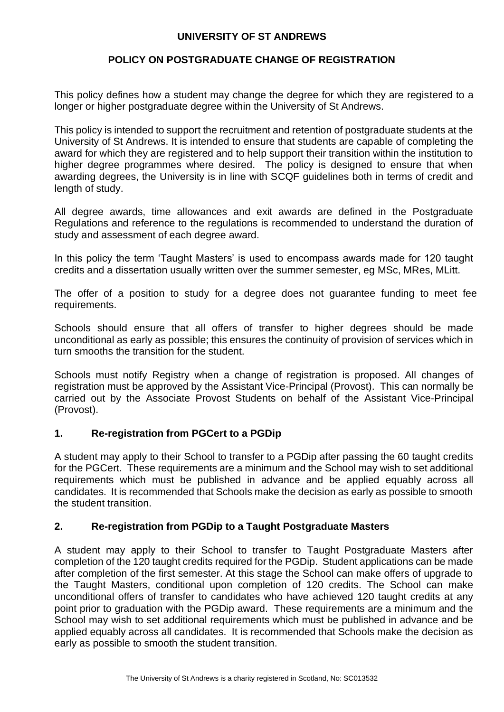#### **UNIVERSITY OF ST ANDREWS**

## **POLICY ON POSTGRADUATE CHANGE OF REGISTRATION**

This policy defines how a student may change the degree for which they are registered to a longer or higher postgraduate degree within the University of St Andrews.

This policy is intended to support the recruitment and retention of postgraduate students at the University of St Andrews. It is intended to ensure that students are capable of completing the award for which they are registered and to help support their transition within the institution to higher degree programmes where desired. The policy is designed to ensure that when awarding degrees, the University is in line with SCQF guidelines both in terms of credit and length of study.

All degree awards, time allowances and exit awards are defined in the Postgraduate Regulations and reference to the regulations is recommended to understand the duration of study and assessment of each degree award.

In this policy the term 'Taught Masters' is used to encompass awards made for 120 taught credits and a dissertation usually written over the summer semester, eg MSc, MRes, MLitt.

The offer of a position to study for a degree does not guarantee funding to meet fee requirements.

Schools should ensure that all offers of transfer to higher degrees should be made unconditional as early as possible; this ensures the continuity of provision of services which in turn smooths the transition for the student.

Schools must notify Registry when a change of registration is proposed. All changes of registration must be approved by the Assistant Vice-Principal (Provost). This can normally be carried out by the Associate Provost Students on behalf of the Assistant Vice-Principal (Provost).

#### **1. Re-registration from PGCert to a PGDip**

A student may apply to their School to transfer to a PGDip after passing the 60 taught credits for the PGCert. These requirements are a minimum and the School may wish to set additional requirements which must be published in advance and be applied equably across all candidates. It is recommended that Schools make the decision as early as possible to smooth the student transition.

# **2. Re-registration from PGDip to a Taught Postgraduate Masters**

A student may apply to their School to transfer to Taught Postgraduate Masters after completion of the 120 taught credits required for the PGDip. Student applications can be made after completion of the first semester. At this stage the School can make offers of upgrade to the Taught Masters, conditional upon completion of 120 credits. The School can make unconditional offers of transfer to candidates who have achieved 120 taught credits at any point prior to graduation with the PGDip award. These requirements are a minimum and the School may wish to set additional requirements which must be published in advance and be applied equably across all candidates. It is recommended that Schools make the decision as early as possible to smooth the student transition.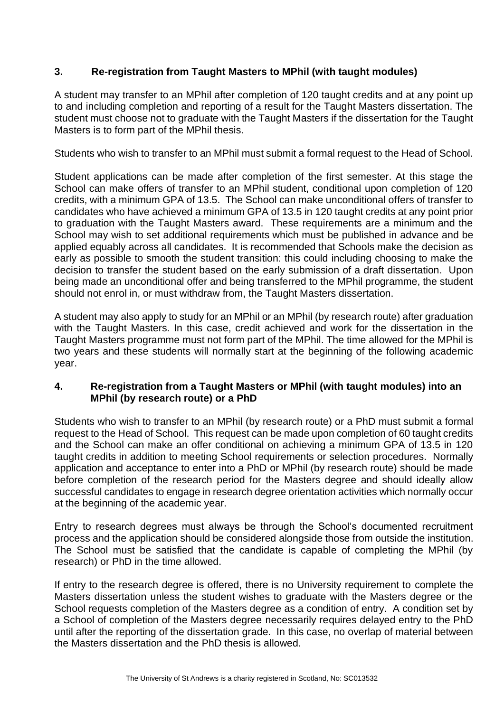# **3. Re-registration from Taught Masters to MPhil (with taught modules)**

A student may transfer to an MPhil after completion of 120 taught credits and at any point up to and including completion and reporting of a result for the Taught Masters dissertation. The student must choose not to graduate with the Taught Masters if the dissertation for the Taught Masters is to form part of the MPhil thesis.

Students who wish to transfer to an MPhil must submit a formal request to the Head of School.

Student applications can be made after completion of the first semester. At this stage the School can make offers of transfer to an MPhil student, conditional upon completion of 120 credits, with a minimum GPA of 13.5. The School can make unconditional offers of transfer to candidates who have achieved a minimum GPA of 13.5 in 120 taught credits at any point prior to graduation with the Taught Masters award. These requirements are a minimum and the School may wish to set additional requirements which must be published in advance and be applied equably across all candidates. It is recommended that Schools make the decision as early as possible to smooth the student transition: this could including choosing to make the decision to transfer the student based on the early submission of a draft dissertation. Upon being made an unconditional offer and being transferred to the MPhil programme, the student should not enrol in, or must withdraw from, the Taught Masters dissertation.

A student may also apply to study for an MPhil or an MPhil (by research route) after graduation with the Taught Masters. In this case, credit achieved and work for the dissertation in the Taught Masters programme must not form part of the MPhil. The time allowed for the MPhil is two years and these students will normally start at the beginning of the following academic year.

### **4. Re-registration from a Taught Masters or MPhil (with taught modules) into an MPhil (by research route) or a PhD**

Students who wish to transfer to an MPhil (by research route) or a PhD must submit a formal request to the Head of School. This request can be made upon completion of 60 taught credits and the School can make an offer conditional on achieving a minimum GPA of 13.5 in 120 taught credits in addition to meeting School requirements or selection procedures. Normally application and acceptance to enter into a PhD or MPhil (by research route) should be made before completion of the research period for the Masters degree and should ideally allow successful candidates to engage in research degree orientation activities which normally occur at the beginning of the academic year.

Entry to research degrees must always be through the School's documented recruitment process and the application should be considered alongside those from outside the institution. The School must be satisfied that the candidate is capable of completing the MPhil (by research) or PhD in the time allowed.

If entry to the research degree is offered, there is no University requirement to complete the Masters dissertation unless the student wishes to graduate with the Masters degree or the School requests completion of the Masters degree as a condition of entry. A condition set by a School of completion of the Masters degree necessarily requires delayed entry to the PhD until after the reporting of the dissertation grade. In this case, no overlap of material between the Masters dissertation and the PhD thesis is allowed.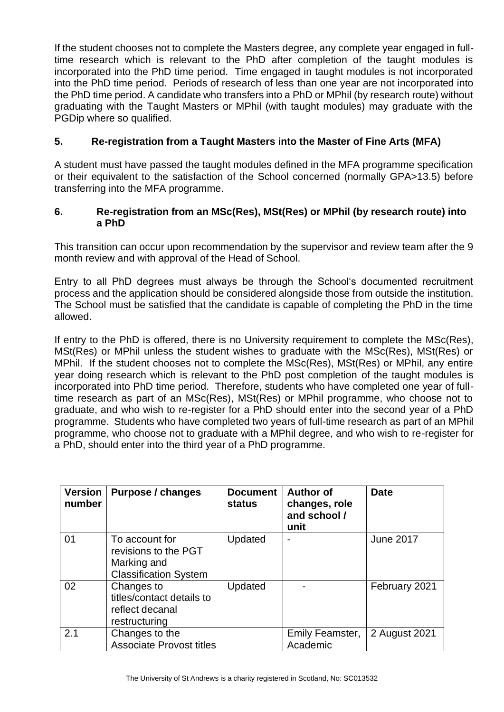If the student chooses not to complete the Masters degree, any complete year engaged in fulltime research which is relevant to the PhD after completion of the taught modules is incorporated into the PhD time period. Time engaged in taught modules is not incorporated into the PhD time period. Periods of research of less than one year are not incorporated into the PhD time period. A candidate who transfers into a PhD or MPhil (by research route) without graduating with the Taught Masters or MPhil (with taught modules) may graduate with the PGDip where so qualified.

# **5. Re-registration from a Taught Masters into the Master of Fine Arts (MFA)**

A student must have passed the taught modules defined in the MFA programme specification or their equivalent to the satisfaction of the School concerned (normally GPA>13.5) before transferring into the MFA programme.

# **6. Re-registration from an MSc(Res), MSt(Res) or MPhil (by research route) into a PhD**

This transition can occur upon recommendation by the supervisor and review team after the 9 month review and with approval of the Head of School.

Entry to all PhD degrees must always be through the School's documented recruitment process and the application should be considered alongside those from outside the institution. The School must be satisfied that the candidate is capable of completing the PhD in the time allowed.

If entry to the PhD is offered, there is no University requirement to complete the MSc(Res), MSt(Res) or MPhil unless the student wishes to graduate with the MSc(Res), MSt(Res) or MPhil. If the student chooses not to complete the MSc(Res), MSt(Res) or MPhil, any entire year doing research which is relevant to the PhD post completion of the taught modules is incorporated into PhD time period. Therefore, students who have completed one year of fulltime research as part of an MSc(Res), MSt(Res) or MPhil programme, who choose not to graduate, and who wish to re-register for a PhD should enter into the second year of a PhD programme. Students who have completed two years of full-time research as part of an MPhil programme, who choose not to graduate with a MPhil degree, and who wish to re-register for a PhD, should enter into the third year of a PhD programme.

| <b>Version</b><br>number | Purpose / changes                                                                     | <b>Document</b><br>status | <b>Author of</b><br>changes, role<br>and school /<br>unit | <b>Date</b>      |
|--------------------------|---------------------------------------------------------------------------------------|---------------------------|-----------------------------------------------------------|------------------|
| 01                       | To account for<br>revisions to the PGT<br>Marking and<br><b>Classification System</b> | Updated                   | $\blacksquare$                                            | <b>June 2017</b> |
| 02                       | Changes to<br>titles/contact details to<br>reflect decanal<br>restructuring           | Updated                   |                                                           | February 2021    |
| 2.1                      | Changes to the<br><b>Associate Provost titles</b>                                     |                           | Emily Feamster,<br>Academic                               | 2 August 2021    |